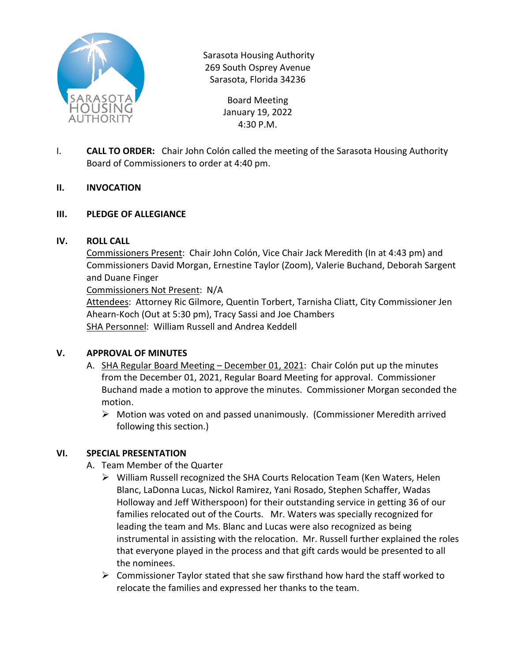

Sarasota Housing Authority 269 South Osprey Avenue Sarasota, Florida 34236

> Board Meeting January 19, 2022 4:30 P.M.

- I. **CALL TO ORDER:** Chair John Colón called the meeting of the Sarasota Housing Authority Board of Commissioners to order at 4:40 pm.
- **II. INVOCATION**
- **III. PLEDGE OF ALLEGIANCE**

### **IV. ROLL CALL**

Commissioners Present: Chair John Colón, Vice Chair Jack Meredith (In at 4:43 pm) and Commissioners David Morgan, Ernestine Taylor (Zoom), Valerie Buchand, Deborah Sargent and Duane Finger

Commissioners Not Present: N/A

Attendees: Attorney Ric Gilmore, Quentin Torbert, Tarnisha Cliatt, City Commissioner Jen Ahearn-Koch (Out at 5:30 pm), Tracy Sassi and Joe Chambers SHA Personnel: William Russell and Andrea Keddell

# **V. APPROVAL OF MINUTES**

- A. SHA Regular Board Meeting December 01, 2021: Chair Colón put up the minutes from the December 01, 2021, Regular Board Meeting for approval. Commissioner Buchand made a motion to approve the minutes. Commissioner Morgan seconded the motion.
	- $\triangleright$  Motion was voted on and passed unanimously. (Commissioner Meredith arrived following this section.)

# **VI. SPECIAL PRESENTATION**

- A. Team Member of the Quarter
	- William Russell recognized the SHA Courts Relocation Team (Ken Waters, Helen Blanc, LaDonna Lucas, Nickol Ramirez, Yani Rosado, Stephen Schaffer, Wadas Holloway and Jeff Witherspoon) for their outstanding service in getting 36 of our families relocated out of the Courts. Mr. Waters was specially recognized for leading the team and Ms. Blanc and Lucas were also recognized as being instrumental in assisting with the relocation. Mr. Russell further explained the roles that everyone played in the process and that gift cards would be presented to all the nominees.
	- $\triangleright$  Commissioner Taylor stated that she saw firsthand how hard the staff worked to relocate the families and expressed her thanks to the team.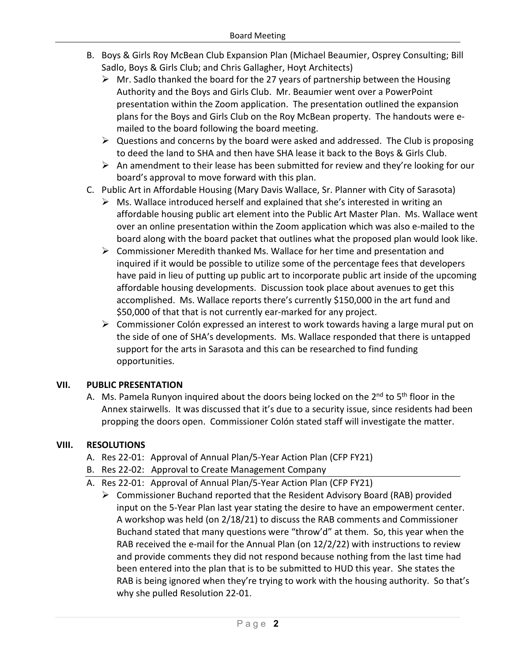- B. Boys & Girls Roy McBean Club Expansion Plan (Michael Beaumier, Osprey Consulting; Bill Sadlo, Boys & Girls Club; and Chris Gallagher, Hoyt Architects)
	- $\triangleright$  Mr. Sadlo thanked the board for the 27 years of partnership between the Housing Authority and the Boys and Girls Club. Mr. Beaumier went over a PowerPoint presentation within the Zoom application. The presentation outlined the expansion plans for the Boys and Girls Club on the Roy McBean property. The handouts were emailed to the board following the board meeting.
	- $\triangleright$  Questions and concerns by the board were asked and addressed. The Club is proposing to deed the land to SHA and then have SHA lease it back to the Boys & Girls Club.
	- $\triangleright$  An amendment to their lease has been submitted for review and they're looking for our board's approval to move forward with this plan.
- C. Public Art in Affordable Housing (Mary Davis Wallace, Sr. Planner with City of Sarasota)
	- $\triangleright$  Ms. Wallace introduced herself and explained that she's interested in writing an affordable housing public art element into the Public Art Master Plan. Ms. Wallace went over an online presentation within the Zoom application which was also e-mailed to the board along with the board packet that outlines what the proposed plan would look like.
	- $\triangleright$  Commissioner Meredith thanked Ms. Wallace for her time and presentation and inquired if it would be possible to utilize some of the percentage fees that developers have paid in lieu of putting up public art to incorporate public art inside of the upcoming affordable housing developments. Discussion took place about avenues to get this accomplished. Ms. Wallace reports there's currently \$150,000 in the art fund and \$50,000 of that that is not currently ear-marked for any project.
	- Commissioner Colón expressed an interest to work towards having a large mural put on the side of one of SHA's developments. Ms. Wallace responded that there is untapped support for the arts in Sarasota and this can be researched to find funding opportunities.

# **VII. PUBLIC PRESENTATION**

A. Ms. Pamela Runyon inquired about the doors being locked on the  $2^{nd}$  to  $5^{th}$  floor in the Annex stairwells. It was discussed that it's due to a security issue, since residents had been propping the doors open. Commissioner Colón stated staff will investigate the matter.

# **VIII. RESOLUTIONS**

- A. Res 22-01: Approval of Annual Plan/5-Year Action Plan (CFP FY21)
- B. Res 22-02: Approval to Create Management Company
- A. Res 22-01: Approval of Annual Plan/5-Year Action Plan (CFP FY21)
	- $\triangleright$  Commissioner Buchand reported that the Resident Advisory Board (RAB) provided input on the 5-Year Plan last year stating the desire to have an empowerment center. A workshop was held (on 2/18/21) to discuss the RAB comments and Commissioner Buchand stated that many questions were "throw'd" at them. So, this year when the RAB received the e-mail for the Annual Plan (on 12/2/22) with instructions to review and provide comments they did not respond because nothing from the last time had been entered into the plan that is to be submitted to HUD this year. She states the RAB is being ignored when they're trying to work with the housing authority. So that's why she pulled Resolution 22-01.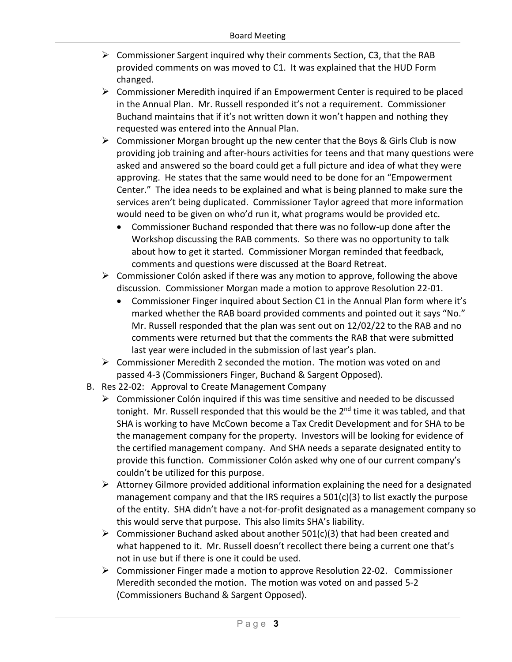- $\triangleright$  Commissioner Sargent inquired why their comments Section, C3, that the RAB provided comments on was moved to C1. It was explained that the HUD Form changed.
- Commissioner Meredith inquired if an Empowerment Center is required to be placed in the Annual Plan. Mr. Russell responded it's not a requirement. Commissioner Buchand maintains that if it's not written down it won't happen and nothing they requested was entered into the Annual Plan.
- $\triangleright$  Commissioner Morgan brought up the new center that the Boys & Girls Club is now providing job training and after-hours activities for teens and that many questions were asked and answered so the board could get a full picture and idea of what they were approving. He states that the same would need to be done for an "Empowerment Center." The idea needs to be explained and what is being planned to make sure the services aren't being duplicated. Commissioner Taylor agreed that more information would need to be given on who'd run it, what programs would be provided etc.
	- Commissioner Buchand responded that there was no follow-up done after the Workshop discussing the RAB comments. So there was no opportunity to talk about how to get it started. Commissioner Morgan reminded that feedback, comments and questions were discussed at the Board Retreat.
- $\triangleright$  Commissioner Colón asked if there was any motion to approve, following the above discussion. Commissioner Morgan made a motion to approve Resolution 22-01.
	- Commissioner Finger inquired about Section C1 in the Annual Plan form where it's marked whether the RAB board provided comments and pointed out it says "No." Mr. Russell responded that the plan was sent out on 12/02/22 to the RAB and no comments were returned but that the comments the RAB that were submitted last year were included in the submission of last year's plan.
- $\triangleright$  Commissioner Meredith 2 seconded the motion. The motion was voted on and passed 4-3 (Commissioners Finger, Buchand & Sargent Opposed).
- B. Res 22-02: Approval to Create Management Company
	- $\triangleright$  Commissioner Colón inquired if this was time sensitive and needed to be discussed tonight. Mr. Russell responded that this would be the  $2<sup>nd</sup>$  time it was tabled, and that SHA is working to have McCown become a Tax Credit Development and for SHA to be the management company for the property. Investors will be looking for evidence of the certified management company. And SHA needs a separate designated entity to provide this function. Commissioner Colón asked why one of our current company's couldn't be utilized for this purpose.
	- $\triangleright$  Attorney Gilmore provided additional information explaining the need for a designated management company and that the IRS requires a 501(c)(3) to list exactly the purpose of the entity. SHA didn't have a not-for-profit designated as a management company so this would serve that purpose. This also limits SHA's liability.
	- $\triangleright$  Commissioner Buchand asked about another 501(c)(3) that had been created and what happened to it. Mr. Russell doesn't recollect there being a current one that's not in use but if there is one it could be used.
	- $\triangleright$  Commissioner Finger made a motion to approve Resolution 22-02. Commissioner Meredith seconded the motion. The motion was voted on and passed 5-2 (Commissioners Buchand & Sargent Opposed).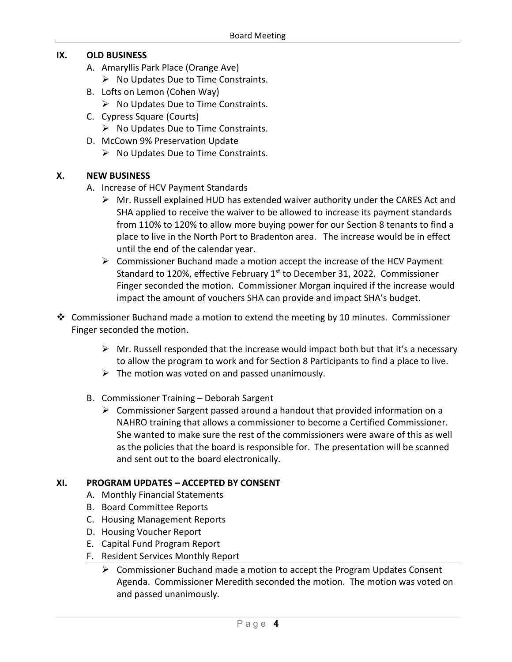### **IX. OLD BUSINESS**

- A. Amaryllis Park Place (Orange Ave)
	- $\triangleright$  No Updates Due to Time Constraints.
- B. Lofts on Lemon (Cohen Way)
	- $\triangleright$  No Updates Due to Time Constraints.
- C. Cypress Square (Courts)
	- $\triangleright$  No Updates Due to Time Constraints.
- D. McCown 9% Preservation Update
	- $\triangleright$  No Updates Due to Time Constraints.

#### **X. NEW BUSINESS**

- A. Increase of HCV Payment Standards
	- $\triangleright$  Mr. Russell explained HUD has extended waiver authority under the CARES Act and SHA applied to receive the waiver to be allowed to increase its payment standards from 110% to 120% to allow more buying power for our Section 8 tenants to find a place to live in the North Port to Bradenton area. The increase would be in effect until the end of the calendar year.
	- $\triangleright$  Commissioner Buchand made a motion accept the increase of the HCV Payment Standard to 120%, effective February 1<sup>st</sup> to December 31, 2022. Commissioner Finger seconded the motion. Commissioner Morgan inquired if the increase would impact the amount of vouchers SHA can provide and impact SHA's budget.
- Commissioner Buchand made a motion to extend the meeting by 10 minutes. Commissioner Finger seconded the motion.
	- $\triangleright$  Mr. Russell responded that the increase would impact both but that it's a necessary to allow the program to work and for Section 8 Participants to find a place to live.
	- $\triangleright$  The motion was voted on and passed unanimously.
	- B. Commissioner Training Deborah Sargent
		- $\triangleright$  Commissioner Sargent passed around a handout that provided information on a NAHRO training that allows a commissioner to become a Certified Commissioner. She wanted to make sure the rest of the commissioners were aware of this as well as the policies that the board is responsible for. The presentation will be scanned and sent out to the board electronically.

#### **XI. PROGRAM UPDATES – ACCEPTED BY CONSENT**

- A. Monthly Financial Statements
- B. Board Committee Reports
- C. Housing Management Reports
- D. Housing Voucher Report
- E. Capital Fund Program Report
- F. Resident Services Monthly Report
	- $\triangleright$  Commissioner Buchand made a motion to accept the Program Updates Consent Agenda. Commissioner Meredith seconded the motion. The motion was voted on and passed unanimously.